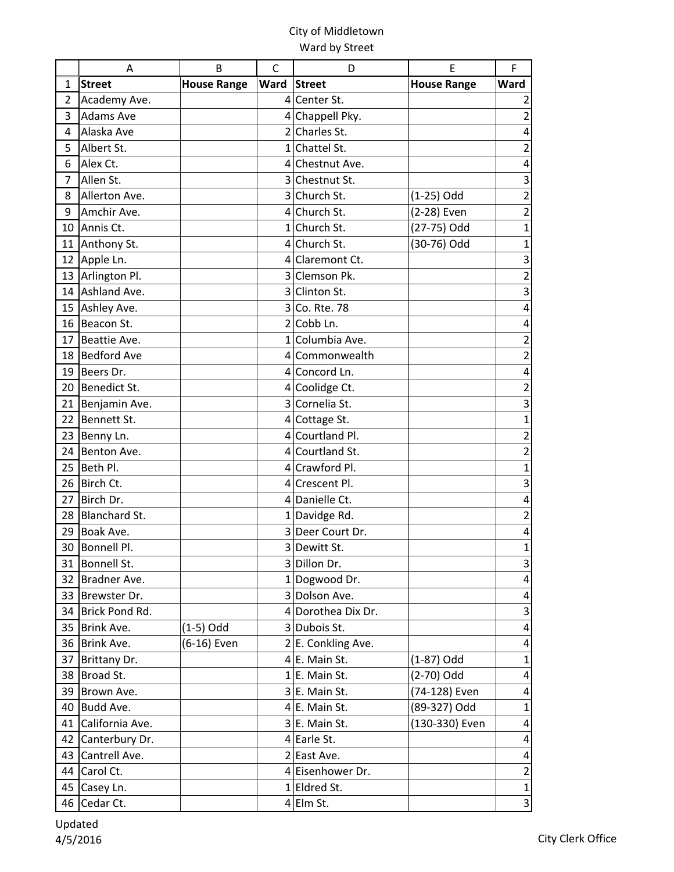|                | A                    | B                  | C    | D                               | Ε                  | F                         |
|----------------|----------------------|--------------------|------|---------------------------------|--------------------|---------------------------|
| 1              | <b>Street</b>        | <b>House Range</b> | Ward | <b>Street</b>                   | <b>House Range</b> | Ward                      |
| 2              | Academy Ave.         |                    |      | 4 Center St.                    |                    | $\overline{2}$            |
| 3              | <b>Adams Ave</b>     |                    |      | 4 Chappell Pky.                 |                    | $\mathbf 2$               |
| 4              | Alaska Ave           |                    |      | 2 Charles St.                   |                    | $\pmb{4}$                 |
| 5              | Albert St.           |                    |      | 1 Chattel St.                   |                    | $\overline{\mathbf{c}}$   |
| 6              | Alex Ct.             |                    |      | 4 Chestnut Ave.                 |                    | $\pmb{4}$                 |
| $\overline{7}$ | Allen St.            |                    |      | 3 Chestnut St.                  |                    | 3                         |
| 8              | Allerton Ave.        |                    |      | 3 Church St.                    | (1-25) Odd         | $\overline{c}$            |
| 9              | Amchir Ave.          |                    |      | 4 Church St.                    | (2-28) Even        | $\mathbf 2$               |
|                | 10 Annis Ct.         |                    |      | 1 Church St.                    | (27-75) Odd        | $\mathbf 1$               |
| 11             | Anthony St.          |                    |      | 4 Church St.                    | (30-76) Odd        | $\mathbf 1$               |
| 12             | Apple Ln.            |                    |      | 4 Claremont Ct.                 |                    | 3                         |
| 13             | Arlington Pl.        |                    |      | 3 Clemson Pk.                   |                    | $\overline{\mathbf{c}}$   |
| 14             | Ashland Ave.         |                    |      | 3 Clinton St.                   |                    | 3                         |
|                | 15 Ashley Ave.       |                    |      | 3 Co. Rte. 78                   |                    | $\pmb{4}$                 |
| 16             | Beacon St.           |                    |      | 2 Cobb Ln.                      |                    | 4                         |
| 17             | Beattie Ave.         |                    |      | 1 Columbia Ave.                 |                    | $\overline{\mathbf{c}}$   |
| 18             | <b>Bedford Ave</b>   |                    |      | 4 Commonwealth                  |                    | $\mathbf 2$               |
| 19             | Beers Dr.            |                    |      | 4 Concord Ln.                   |                    | $\pmb{4}$                 |
| 20             | Benedict St.         |                    |      | 4 Coolidge Ct.                  |                    | $\mathbf 2$               |
| 21             | Benjamin Ave.        |                    |      | 3 Cornelia St.                  |                    | $\overline{\mathbf{3}}$   |
| 22             | Bennett St.          |                    |      | 4 Cottage St.                   |                    | $\mathbf{1}$              |
| 23             | Benny Ln.            |                    |      | 4 Courtland Pl.                 |                    | $\overline{c}$            |
| 24             | Benton Ave.          |                    |      | 4 Courtland St.                 |                    | $\overline{\mathbf{c}}$   |
| 25             | Beth Pl.             |                    |      | 4 Crawford Pl.                  |                    | $\mathbf 1$               |
| 26             | Birch Ct.            |                    |      | 4 Crescent Pl.                  |                    | 3                         |
| 27             | Birch Dr.            |                    |      | 4 Danielle Ct.                  |                    | $\overline{\mathbf{4}}$   |
| 28             | <b>Blanchard St.</b> |                    |      | 1 Davidge Rd.                   |                    | $\overline{2}$            |
| 29             | Boak Ave.            |                    |      | 3 Deer Court Dr.                |                    | 4                         |
| 30             | Bonnell Pl.          |                    |      | 3 Dewitt St.                    |                    | $\mathbf{1}$              |
| 31             | Bonnell St.          |                    |      | 3 Dillon Dr.                    |                    | 3                         |
| 32             | Bradner Ave.         |                    |      | 1 Dogwood Dr.                   |                    | 4                         |
| 33             | Brewster Dr.         |                    |      | 3 Dolson Ave.                   |                    | $\overline{\mathbf{4}}$   |
| 34             | Brick Pond Rd.       |                    |      | 4 Dorothea Dix Dr.              |                    | $\ensuremath{\mathsf{3}}$ |
| 35             | Brink Ave.           | $(1-5)$ Odd        |      | 3 Dubois St.                    |                    | $\overline{\mathbf{4}}$   |
|                | 36 Brink Ave.        | (6-16) Even        |      | 2 E. Conkling Ave.              |                    | 4                         |
| 37             | Brittany Dr.         |                    |      | 4 E. Main St.                   | $(1-87)$ Odd       | $\mathbf{1}$              |
| 38             | Broad St.            |                    |      | $1 E$ . Main St.                | (2-70) Odd         | $\overline{a}$            |
| 39             | Brown Ave.           |                    |      | 3 E. Main St.                   | (74-128) Even      | 4                         |
| 40             | Budd Ave.            |                    |      | 4 E. Main St.                   | (89-327) Odd       | $\mathbf{1}$              |
| 41             | California Ave.      |                    |      | 3 E. Main St.                   | (130-330) Even     | 4                         |
| 42             | Canterbury Dr.       |                    |      | $4$ Earle St.                   |                    | 4                         |
| 43             | Cantrell Ave.        |                    |      | 2 East Ave.<br>4 Eisenhower Dr. |                    | $\pmb{4}$                 |
| 44             | Carol Ct.            |                    |      |                                 |                    | $\overline{2}$            |
| 45             | Casey Ln.            |                    |      | 1 Eldred St.                    |                    | $\mathbf 1$               |
|                | 46 Cedar Ct.         |                    |      | $4$ Elm St.                     |                    | $\ensuremath{\mathsf{3}}$ |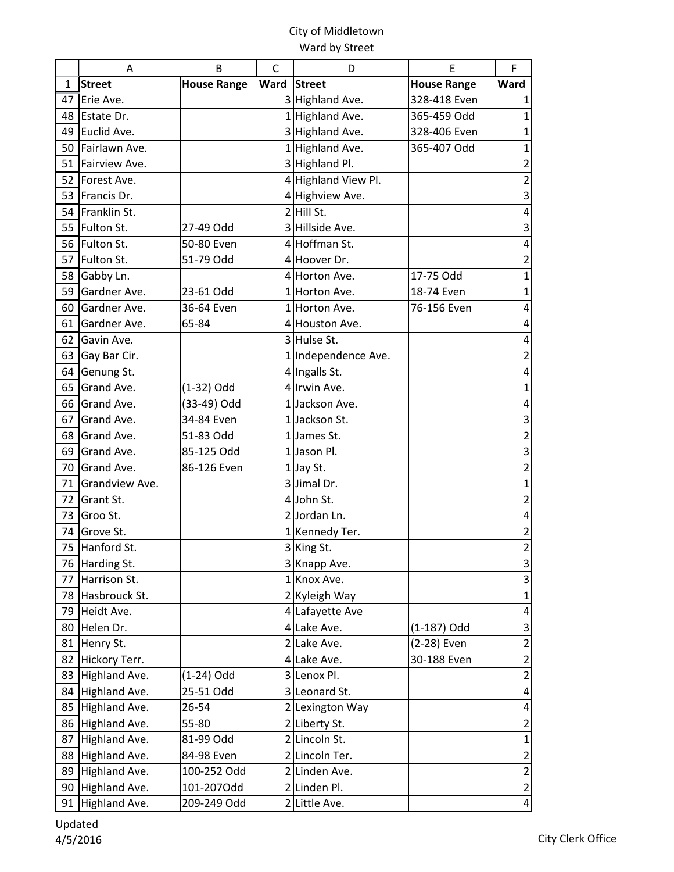|    | A              | B                  | $\mathsf{C}$ | D                   | E                  | F                       |
|----|----------------|--------------------|--------------|---------------------|--------------------|-------------------------|
| 1  | <b>Street</b>  | <b>House Range</b> | Ward         | <b>Street</b>       | <b>House Range</b> | Ward                    |
| 47 | Erie Ave.      |                    |              | 3 Highland Ave.     | 328-418 Even       | 1                       |
| 48 | Estate Dr.     |                    |              | 1 Highland Ave.     | 365-459 Odd        | $\mathbf{1}$            |
| 49 | Euclid Ave.    |                    |              | 3 Highland Ave.     | 328-406 Even       | $\mathbf 1$             |
| 50 | Fairlawn Ave.  |                    |              | 1 Highland Ave.     | 365-407 Odd        | $\mathbf{1}$            |
| 51 | Fairview Ave.  |                    |              | 3 Highland Pl.      |                    | $\mathbf 2$             |
| 52 | Forest Ave.    |                    |              | 4 Highland View Pl. |                    | $\overline{2}$          |
| 53 | Francis Dr.    |                    |              | 4 Highview Ave.     |                    | 3                       |
| 54 | Franklin St.   |                    |              | $2$ Hill St.        |                    | 4                       |
| 55 | Fulton St.     | 27-49 Odd          | 3            | Hillside Ave.       |                    | 3                       |
| 56 | Fulton St.     | 50-80 Even         |              | 4 Hoffman St.       |                    | 4                       |
| 57 | Fulton St.     | 51-79 Odd          |              | 4 Hoover Dr.        |                    | $\mathbf 2$             |
| 58 | Gabby Ln.      |                    |              | 4 Horton Ave.       | 17-75 Odd          | $\mathbf 1$             |
| 59 | Gardner Ave.   | 23-61 Odd          |              | 1 Horton Ave.       | 18-74 Even         | 1                       |
| 60 | Gardner Ave.   | 36-64 Even         |              | 1 Horton Ave.       | 76-156 Even        | 4                       |
| 61 | Gardner Ave.   | 65-84              |              | 4 Houston Ave.      |                    | 4                       |
| 62 | Gavin Ave.     |                    |              | 3 Hulse St.         |                    | 4                       |
| 63 | Gay Bar Cir.   |                    |              | 1 Independence Ave. |                    | $\overline{2}$          |
| 64 | Genung St.     |                    |              | 4 Ingalls St.       |                    | 4                       |
| 65 | Grand Ave.     | $(1-32)$ Odd       |              | 4 Irwin Ave.        |                    | $\mathbf{1}$            |
| 66 | Grand Ave.     | (33-49) Odd        |              | 1 Jackson Ave.      |                    | 4                       |
| 67 | Grand Ave.     | 34-84 Even         |              | 1 Jackson St.       |                    | 3                       |
| 68 | Grand Ave.     | 51-83 Odd          |              | 1 James St.         |                    | $\overline{2}$          |
| 69 | Grand Ave.     | 85-125 Odd         |              | $1$ Jason Pl.       |                    | 3                       |
| 70 | Grand Ave.     | 86-126 Even        |              | 1 Jay St.           |                    | $\overline{2}$          |
| 71 | Grandview Ave. |                    |              | 3 Jimal Dr.         |                    | $\mathbf{1}$            |
| 72 | Grant St.      |                    |              | 4 John St.          |                    | $\overline{2}$          |
| 73 | Groo St.       |                    |              | 2 Jordan Ln.        |                    | 4                       |
| 74 | Grove St.      |                    |              | 1 Kennedy Ter.      |                    | $\mathbf 2$             |
| 75 | Hanford St.    |                    |              | 3 King St.          |                    | $\overline{2}$          |
|    | 76 Harding St. |                    |              | 3 Knapp Ave.        |                    | 3                       |
| 77 | Harrison St.   |                    |              | 1 Knox Ave.         |                    | 3                       |
| 78 | Hasbrouck St.  |                    |              | 2 Kyleigh Way       |                    | $\mathbf 1$             |
| 79 | Heidt Ave.     |                    |              | 4 Lafayette Ave     |                    | 4                       |
| 80 | Helen Dr.      |                    |              | 4 Lake Ave.         | (1-187) Odd        | 3                       |
| 81 | Henry St.      |                    |              | 2 Lake Ave.         | (2-28) Even        | $\overline{2}$          |
| 82 | Hickory Terr.  |                    |              | 4 Lake Ave.         | 30-188 Even        | $\overline{2}$          |
| 83 | Highland Ave.  | $(1-24)$ Odd       |              | 3 Lenox Pl.         |                    | $\overline{2}$          |
| 84 | Highland Ave.  | 25-51 Odd          |              | 3 Leonard St.       |                    | $\pmb{4}$               |
| 85 | Highland Ave.  | 26-54              |              | 2 Lexington Way     |                    | $\overline{\mathbf{4}}$ |
| 86 | Highland Ave.  | 55-80              |              | 2 Liberty St.       |                    | $\overline{2}$          |
| 87 | Highland Ave.  | 81-99 Odd          |              | 2 Lincoln St.       |                    | $\mathbf 1$             |
| 88 | Highland Ave.  | 84-98 Even         |              | 2 Lincoln Ter.      |                    | $\overline{c}$          |
| 89 | Highland Ave.  | 100-252 Odd        |              | 2 Linden Ave.       |                    | $\overline{2}$          |
| 90 | Highland Ave.  | 101-207Odd         |              | 2 Linden Pl.        |                    | $\overline{2}$          |
| 91 | Highland Ave.  | 209-249 Odd        |              | 2 Little Ave.       |                    | $\overline{\mathbf{r}}$ |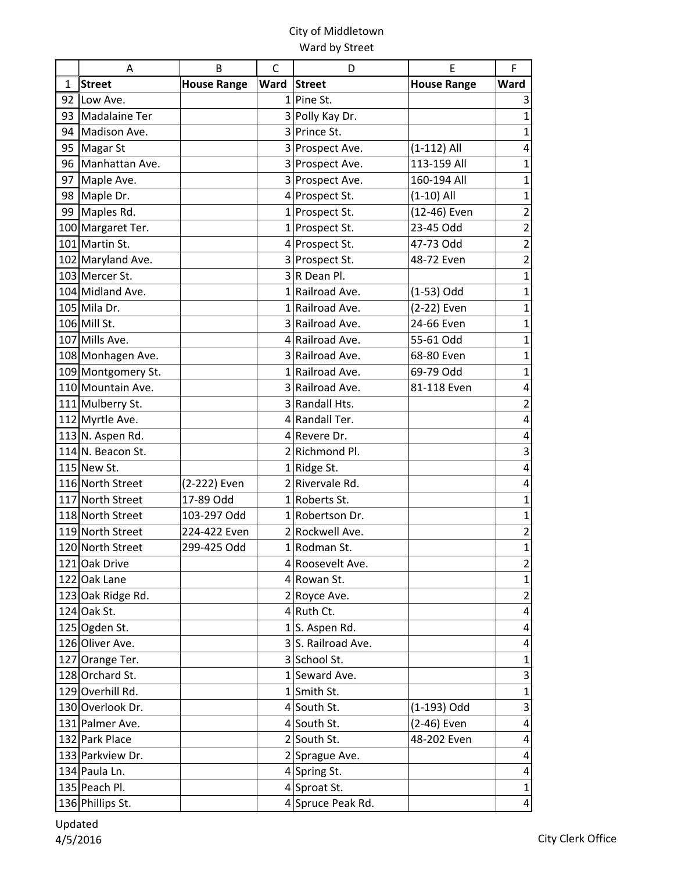|    | A                  | B                  | C              | D                  | E                  | F                         |
|----|--------------------|--------------------|----------------|--------------------|--------------------|---------------------------|
| 1  | <b>Street</b>      | <b>House Range</b> | Ward           | <b>Street</b>      | <b>House Range</b> | Ward                      |
|    | 92 Low Ave.        |                    | 1 <sup>1</sup> | Pine St.           |                    | 3                         |
|    | 93 Madalaine Ter   |                    |                | 3 Polly Kay Dr.    |                    | $\mathbf{1}$              |
|    | 94 Madison Ave.    |                    |                | 3 Prince St.       |                    | $\mathbf 1$               |
| 95 | <b>Magar St</b>    |                    |                | 3 Prospect Ave.    | $(1-112)$ All      | 4                         |
|    | 96 Manhattan Ave.  |                    |                | 3 Prospect Ave.    | 113-159 All        | $\mathbf 1$               |
| 97 | Maple Ave.         |                    |                | 3 Prospect Ave.    | 160-194 All        | $\mathbf 1$               |
|    | 98 Maple Dr.       |                    |                | 4 Prospect St.     | $(1-10)$ All       | $\mathbf{1}$              |
|    | 99 Maples Rd.      |                    |                | 1 Prospect St.     | (12-46) Even       | $\mathbf 2$               |
|    | 100 Margaret Ter.  |                    |                | 1 Prospect St.     | 23-45 Odd          | $\mathbf 2$               |
|    | 101 Martin St.     |                    |                | 4 Prospect St.     | 47-73 Odd          | $\overline{c}$            |
|    | 102 Maryland Ave.  |                    |                | 3 Prospect St.     | 48-72 Even         | $\overline{\mathbf{c}}$   |
|    | 103 Mercer St.     |                    |                | $3 R$ Dean Pl.     |                    | $\mathbf 1$               |
|    | 104 Midland Ave.   |                    |                | 1 Railroad Ave.    | (1-53) Odd         | $\mathbf 1$               |
|    | 105 Mila Dr.       |                    |                | 1 Railroad Ave.    | (2-22) Even        | $\mathbf 1$               |
|    | 106 Mill St.       |                    |                | 3 Railroad Ave.    | 24-66 Even         | $\mathbf 1$               |
|    | 107 Mills Ave.     |                    |                | 4 Railroad Ave.    | 55-61 Odd          | $\mathbf 1$               |
|    | 108 Monhagen Ave.  |                    |                | 3 Railroad Ave.    | 68-80 Even         | $\mathbf 1$               |
|    | 109 Montgomery St. |                    |                | 1 Railroad Ave.    | 69-79 Odd          | $\mathbf{1}$              |
|    | 110 Mountain Ave.  |                    |                | 3 Railroad Ave.    | 81-118 Even        | $\pmb{4}$                 |
|    | 111 Mulberry St.   |                    |                | 3 Randall Hts.     |                    | $\overline{\mathbf{c}}$   |
|    | 112 Myrtle Ave.    |                    |                | 4 Randall Ter.     |                    | $\pmb{4}$                 |
|    | 113 N. Aspen Rd.   |                    |                | 4 Revere Dr.       |                    | $\pmb{4}$                 |
|    | 114 N. Beacon St.  |                    |                | 2 Richmond Pl.     |                    | $\mathsf 3$               |
|    | 115 New St.        |                    |                | 1 Ridge St.        |                    | $\pmb{4}$                 |
|    | 116 North Street   | (2-222) Even       |                | 2 Rivervale Rd.    |                    | $\pmb{4}$                 |
|    | 117 North Street   | 17-89 Odd          |                | 1 Roberts St.      |                    | $\mathbf 1$               |
|    | 118 North Street   | 103-297 Odd        |                | 1 Robertson Dr.    |                    | $\mathbf{1}$              |
|    | 119 North Street   | 224-422 Even       |                | 2 Rockwell Ave.    |                    | $\overline{\mathbf{c}}$   |
|    | 120 North Street   | 299-425 Odd        |                | 1 Rodman St.       |                    | $\mathbf{1}$              |
|    | 121 Oak Drive      |                    |                | 4 Roosevelt Ave.   |                    | $\overline{\mathbf{c}}$   |
|    | 122 Oak Lane       |                    |                | 4 Rowan St.        |                    | $\mathbf{1}$              |
|    | 123 Oak Ridge Rd.  |                    |                | 2 Royce Ave.       |                    | $\overline{2}$            |
|    | 124 Oak St.        |                    |                | $4$ Ruth Ct.       |                    | $\overline{\mathbf{4}}$   |
|    | 125 Ogden St.      |                    |                | 1S. Aspen Rd.      |                    | $\overline{4}$            |
|    | 126 Oliver Ave.    |                    |                | 3 S. Railroad Ave. |                    | 4                         |
|    | 127 Orange Ter.    |                    |                | 3 School St.       |                    | $\mathbf{1}$              |
|    | 128 Orchard St.    |                    |                | 1 Seward Ave.      |                    | $\ensuremath{\mathsf{3}}$ |
|    | 129 Overhill Rd.   |                    |                | 1 Smith St.        |                    | $\mathbf{1}$              |
|    | 130 Overlook Dr.   |                    |                | 4 South St.        | (1-193) Odd        | $\mathbf{3}$              |
|    | 131 Palmer Ave.    |                    |                | 4 South St.        | (2-46) Even        | $\overline{4}$            |
|    | 132 Park Place     |                    |                | 2 South St.        | 48-202 Even        | 4                         |
|    | 133 Parkview Dr.   |                    |                | 2 Sprague Ave.     |                    | 4                         |
|    | 134 Paula Ln.      |                    |                | 4 Spring St.       |                    | $\overline{a}$            |
|    | 135 Peach Pl.      |                    |                | 4 Sproat St.       |                    | $\mathbf{1}$              |
|    | 136 Phillips St.   |                    |                | 4 Spruce Peak Rd.  |                    | $\overline{a}$            |